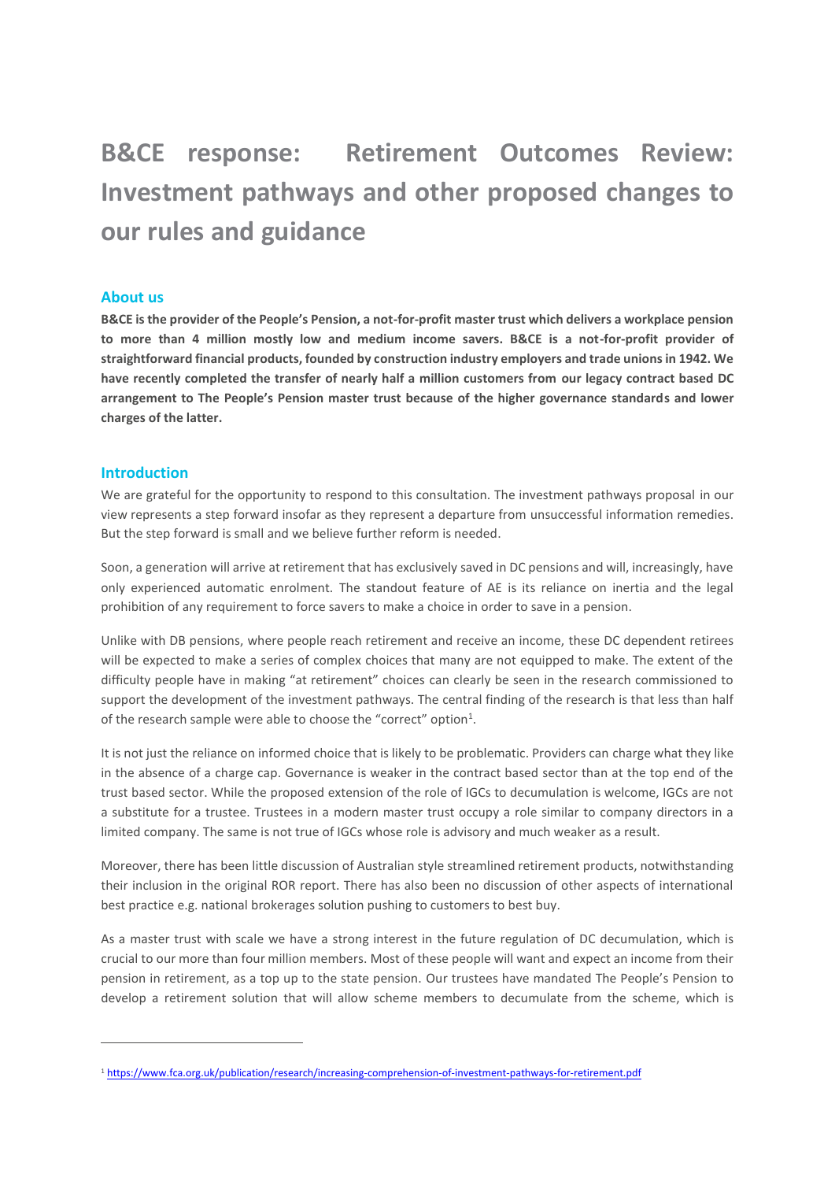# **B&CE response: Retirement Outcomes Review: Investment pathways and other proposed changes to our rules and guidance**

# **About us**

**B&CE is the provider of the People's Pension, a not-for-profit master trust which delivers a workplace pension to more than 4 million mostly low and medium income savers. B&CE is a not-for-profit provider of straightforward financial products, founded by construction industry employers and trade unions in 1942. We have recently completed the transfer of nearly half a million customers from our legacy contract based DC arrangement to The People's Pension master trust because of the higher governance standards and lower charges of the latter.**

## **Introduction**

1

We are grateful for the opportunity to respond to this consultation. The investment pathways proposal in our view represents a step forward insofar as they represent a departure from unsuccessful information remedies. But the step forward is small and we believe further reform is needed.

Soon, a generation will arrive at retirement that has exclusively saved in DC pensions and will, increasingly, have only experienced automatic enrolment. The standout feature of AE is its reliance on inertia and the legal prohibition of any requirement to force savers to make a choice in order to save in a pension.

Unlike with DB pensions, where people reach retirement and receive an income, these DC dependent retirees will be expected to make a series of complex choices that many are not equipped to make. The extent of the difficulty people have in making "at retirement" choices can clearly be seen in the research commissioned to support the development of the investment pathways. The central finding of the research is that less than half of the research sample were able to choose the "correct" option<sup>1</sup>.

It is not just the reliance on informed choice that is likely to be problematic. Providers can charge what they like in the absence of a charge cap. Governance is weaker in the contract based sector than at the top end of the trust based sector. While the proposed extension of the role of IGCs to decumulation is welcome, IGCs are not a substitute for a trustee. Trustees in a modern master trust occupy a role similar to company directors in a limited company. The same is not true of IGCs whose role is advisory and much weaker as a result.

Moreover, there has been little discussion of Australian style streamlined retirement products, notwithstanding their inclusion in the original ROR report. There has also been no discussion of other aspects of international best practice e.g. national brokerages solution pushing to customers to best buy.

As a master trust with scale we have a strong interest in the future regulation of DC decumulation, which is crucial to our more than four million members. Most of these people will want and expect an income from their pension in retirement, as a top up to the state pension. Our trustees have mandated The People's Pension to develop a retirement solution that will allow scheme members to decumulate from the scheme, which is

<sup>1</sup> <https://www.fca.org.uk/publication/research/increasing-comprehension-of-investment-pathways-for-retirement.pdf>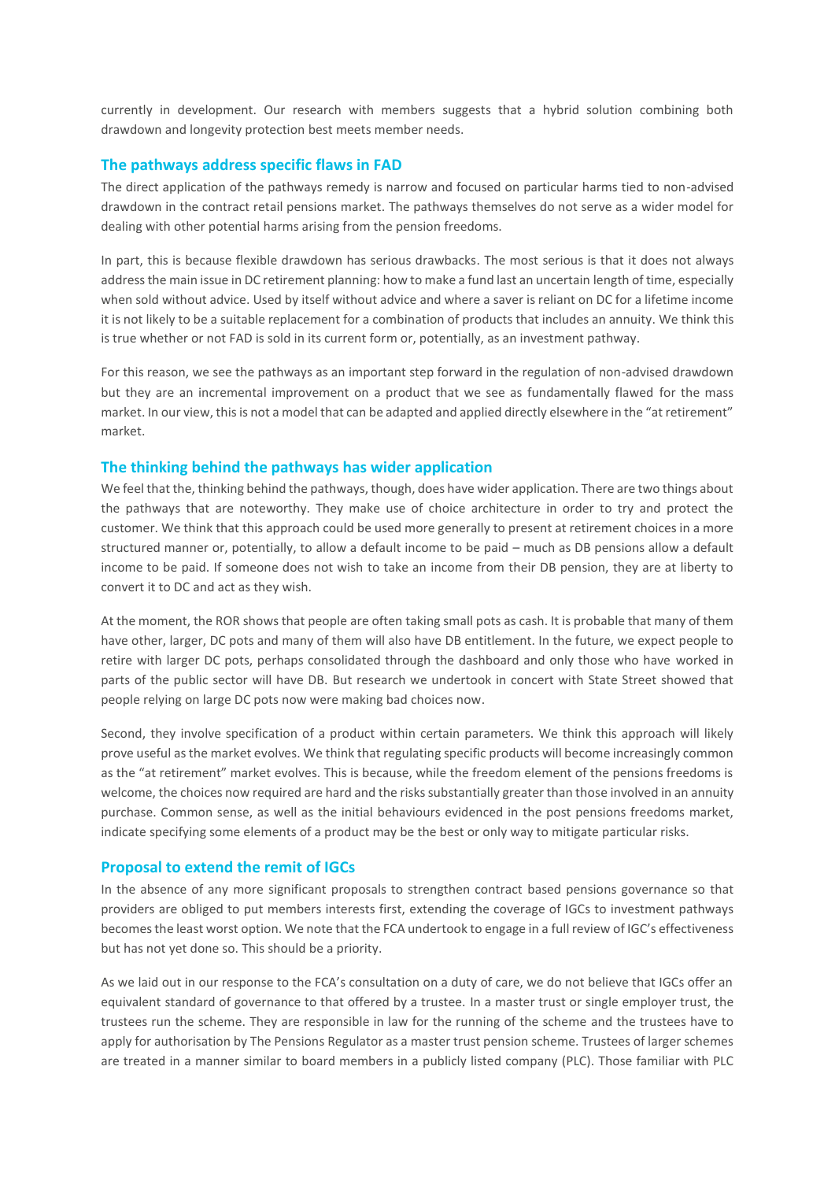currently in development. Our research with members suggests that a hybrid solution combining both drawdown and longevity protection best meets member needs.

## **The pathways address specific flaws in FAD**

The direct application of the pathways remedy is narrow and focused on particular harms tied to non-advised drawdown in the contract retail pensions market. The pathways themselves do not serve as a wider model for dealing with other potential harms arising from the pension freedoms.

In part, this is because flexible drawdown has serious drawbacks. The most serious is that it does not always address the main issue in DC retirement planning: how to make a fund last an uncertain length of time, especially when sold without advice. Used by itself without advice and where a saver is reliant on DC for a lifetime income it is not likely to be a suitable replacement for a combination of products that includes an annuity. We think this is true whether or not FAD is sold in its current form or, potentially, as an investment pathway.

For this reason, we see the pathways as an important step forward in the regulation of non-advised drawdown but they are an incremental improvement on a product that we see as fundamentally flawed for the mass market. In our view, this is not a model that can be adapted and applied directly elsewhere in the "at retirement" market.

#### **The thinking behind the pathways has wider application**

We feel that the, thinking behind the pathways, though, does have wider application. There are two things about the pathways that are noteworthy. They make use of choice architecture in order to try and protect the customer. We think that this approach could be used more generally to present at retirement choices in a more structured manner or, potentially, to allow a default income to be paid – much as DB pensions allow a default income to be paid. If someone does not wish to take an income from their DB pension, they are at liberty to convert it to DC and act as they wish.

At the moment, the ROR shows that people are often taking small pots as cash. It is probable that many of them have other, larger, DC pots and many of them will also have DB entitlement. In the future, we expect people to retire with larger DC pots, perhaps consolidated through the dashboard and only those who have worked in parts of the public sector will have DB. But research we undertook in concert with State Street showed that people relying on large DC pots now were making bad choices now.

Second, they involve specification of a product within certain parameters. We think this approach will likely prove useful as the market evolves. We think that regulating specific products will become increasingly common as the "at retirement" market evolves. This is because, while the freedom element of the pensions freedoms is welcome, the choices now required are hard and the risks substantially greater than those involved in an annuity purchase. Common sense, as well as the initial behaviours evidenced in the post pensions freedoms market, indicate specifying some elements of a product may be the best or only way to mitigate particular risks.

#### **Proposal to extend the remit of IGCs**

In the absence of any more significant proposals to strengthen contract based pensions governance so that providers are obliged to put members interests first, extending the coverage of IGCs to investment pathways becomes the least worst option. We note that the FCA undertook to engage in a full review of IGC's effectiveness but has not yet done so. This should be a priority.

As we laid out in our response to the FCA's consultation on a duty of care, we do not believe that IGCs offer an equivalent standard of governance to that offered by a trustee. In a master trust or single employer trust, the trustees run the scheme. They are responsible in law for the running of the scheme and the trustees have to apply for authorisation by The Pensions Regulator as a master trust pension scheme. Trustees of larger schemes are treated in a manner similar to board members in a publicly listed company (PLC). Those familiar with PLC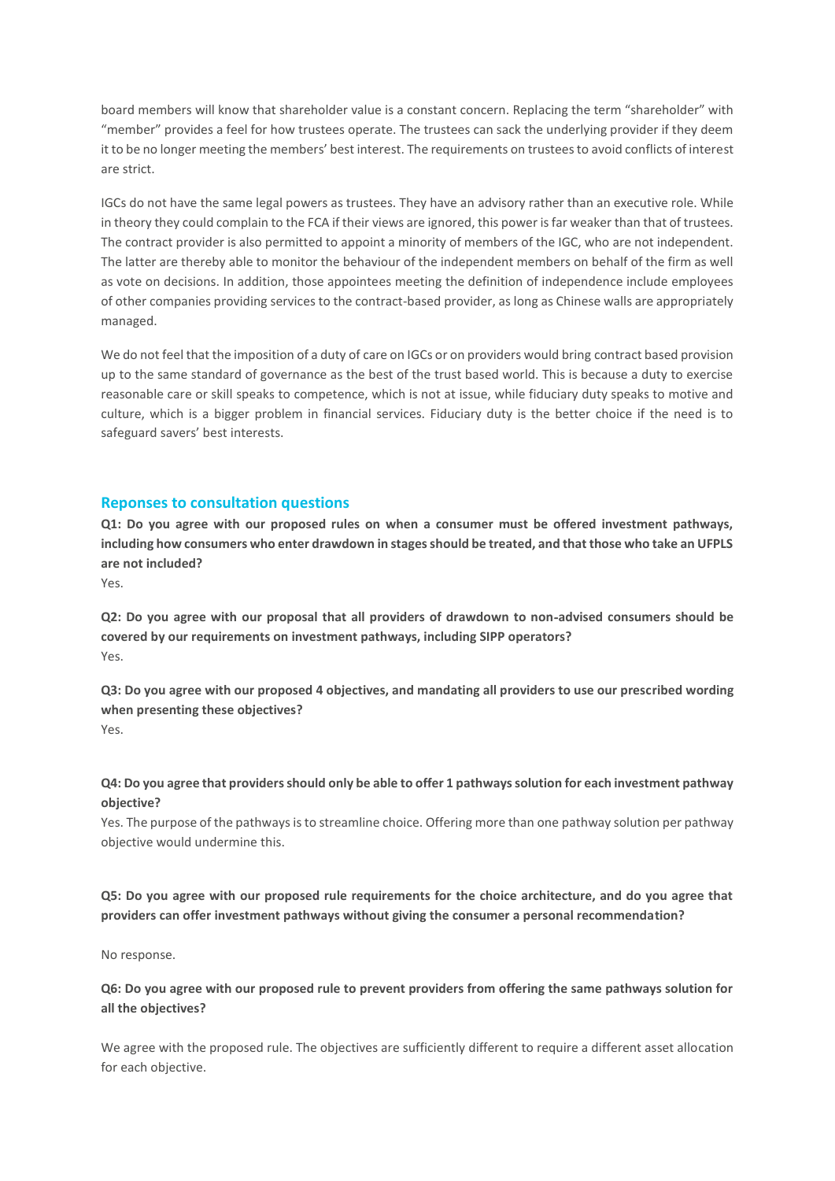board members will know that shareholder value is a constant concern. Replacing the term "shareholder" with "member" provides a feel for how trustees operate. The trustees can sack the underlying provider if they deem it to be no longer meeting the members' best interest. The requirements on trustees to avoid conflicts of interest are strict.

IGCs do not have the same legal powers as trustees. They have an advisory rather than an executive role. While in theory they could complain to the FCA if their views are ignored, this power is far weaker than that of trustees. The contract provider is also permitted to appoint a minority of members of the IGC, who are not independent. The latter are thereby able to monitor the behaviour of the independent members on behalf of the firm as well as vote on decisions. In addition, those appointees meeting the definition of independence include employees of other companies providing services to the contract-based provider, as long as Chinese walls are appropriately managed.

We do not feel that the imposition of a duty of care on IGCs or on providers would bring contract based provision up to the same standard of governance as the best of the trust based world. This is because a duty to exercise reasonable care or skill speaks to competence, which is not at issue, while fiduciary duty speaks to motive and culture, which is a bigger problem in financial services. Fiduciary duty is the better choice if the need is to safeguard savers' best interests.

#### **Reponses to consultation questions**

**Q1: Do you agree with our proposed rules on when a consumer must be offered investment pathways, including how consumers who enter drawdown in stages should be treated, and that those who take an UFPLS are not included?**

Yes.

**Q2: Do you agree with our proposal that all providers of drawdown to non**‑**advised consumers should be covered by our requirements on investment pathways, including SIPP operators?** Yes.

**Q3: Do you agree with our proposed 4 objectives, and mandating all providers to use our prescribed wording when presenting these objectives?** Yes.

# **Q4: Do you agree that providers should only be able to offer 1 pathways solution for each investment pathway objective?**

Yes. The purpose of the pathways is to streamline choice. Offering more than one pathway solution per pathway objective would undermine this.

**Q5: Do you agree with our proposed rule requirements for the choice architecture, and do you agree that providers can offer investment pathways without giving the consumer a personal recommendation?**

No response.

**Q6: Do you agree with our proposed rule to prevent providers from offering the same pathways solution for all the objectives?**

We agree with the proposed rule. The objectives are sufficiently different to require a different asset allocation for each objective.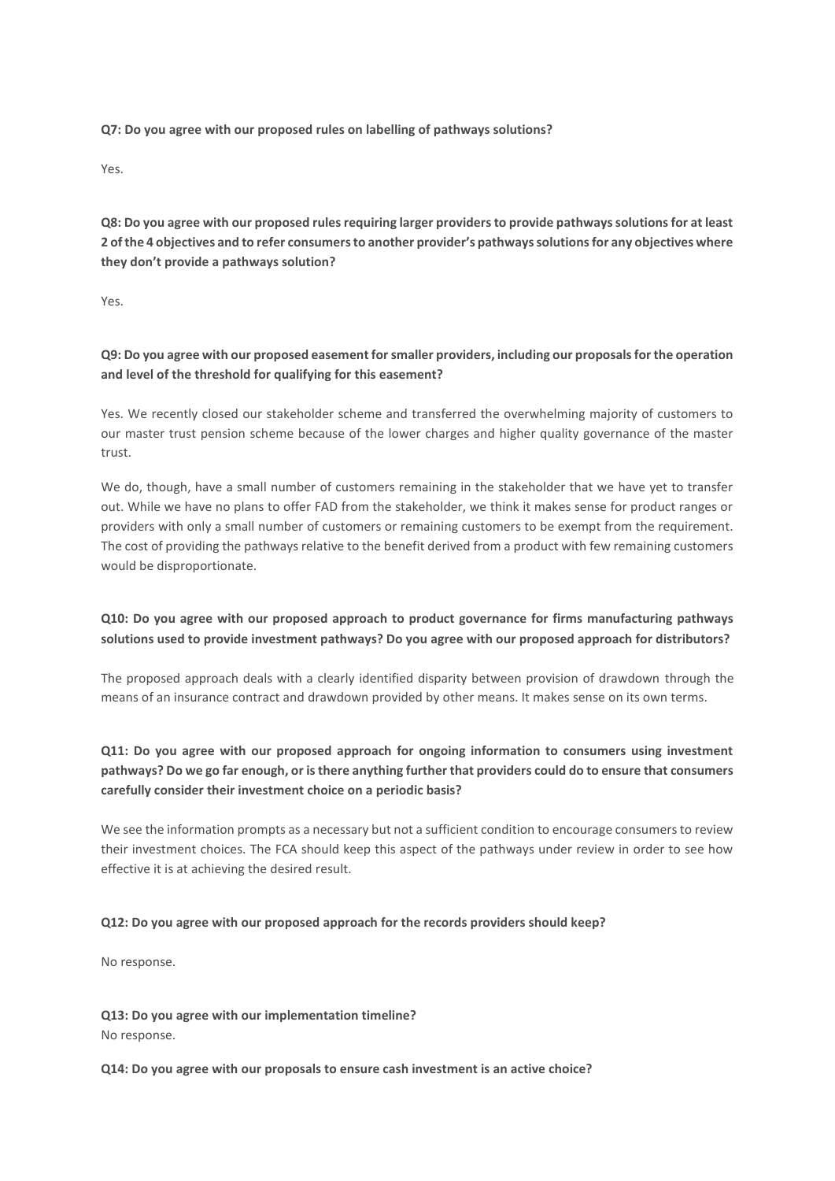**Q7: Do you agree with our proposed rules on labelling of pathways solutions?**

Yes.

**Q8: Do you agree with our proposed rules requiring larger providers to provide pathways solutions for at least 2 of the 4 objectives and to refer consumers to another provider's pathways solutions for any objectives where they don't provide a pathways solution?**

Yes.

# **Q9: Do you agree with our proposed easement for smaller providers, including our proposals for the operation and level of the threshold for qualifying for this easement?**

Yes. We recently closed our stakeholder scheme and transferred the overwhelming majority of customers to our master trust pension scheme because of the lower charges and higher quality governance of the master trust.

We do, though, have a small number of customers remaining in the stakeholder that we have yet to transfer out. While we have no plans to offer FAD from the stakeholder, we think it makes sense for product ranges or providers with only a small number of customers or remaining customers to be exempt from the requirement. The cost of providing the pathways relative to the benefit derived from a product with few remaining customers would be disproportionate.

# **Q10: Do you agree with our proposed approach to product governance for firms manufacturing pathways solutions used to provide investment pathways? Do you agree with our proposed approach for distributors?**

The proposed approach deals with a clearly identified disparity between provision of drawdown through the means of an insurance contract and drawdown provided by other means. It makes sense on its own terms.

# **Q11: Do you agree with our proposed approach for ongoing information to consumers using investment pathways? Do we go far enough, or is there anything further that providers could do to ensure that consumers carefully consider their investment choice on a periodic basis?**

We see the information prompts as a necessary but not a sufficient condition to encourage consumers to review their investment choices. The FCA should keep this aspect of the pathways under review in order to see how effective it is at achieving the desired result.

#### **Q12: Do you agree with our proposed approach for the records providers should keep?**

No response.

**Q13: Do you agree with our implementation timeline?** No response.

**Q14: Do you agree with our proposals to ensure cash investment is an active choice?**